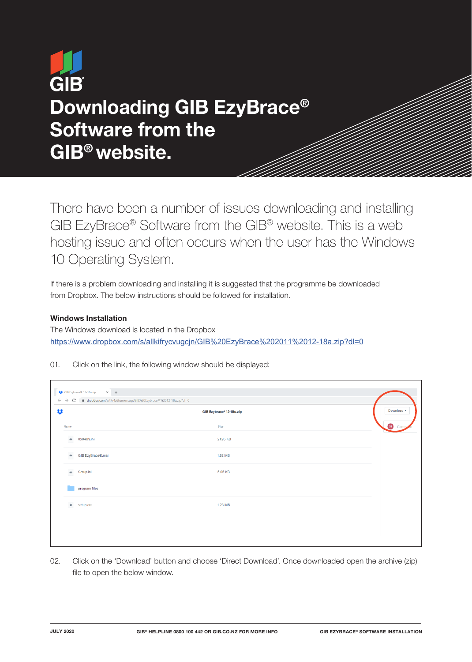# **GIB** Downloading GIB EzyBrace® Software from the GIB® website.

There have been a number of issues downloading and installing GIB EzyBrace® Software from the GIB® website. This is a web hosting issue and often occurs when the user has the Windows 10 Operating System.

If there is a problem downloading and installing it is suggested that the programme be downloaded from Dropbox. The below instructions should be followed for installation.

## Windows Installation

The Windows download is located in the Dropbox https://www.dropbox.com/s/allkifrycvugcjn/GIB%20EzyBrace%202011%2012-18a.zip?dl=0

01. Click on the link, the following window should be displayed:

| $\leftarrow$ $\rightarrow$ C<br>■ dropbox.com/s/t7r4z6tumxrrswp/GIB%20Ezybrace®%2012-18u.zip?dl=0 |                          |            |
|---------------------------------------------------------------------------------------------------|--------------------------|------------|
|                                                                                                   | GIB Ezybrace® 12-18u.zip | Download * |
| Name                                                                                              | Size                     | SI Comm    |
| $\hat{=}$<br>0x0409.ini                                                                           | 21.96 KB                 |            |
| GIB EzyBrace©.msi<br>$\triangleq$                                                                 | 1.82 MB                  |            |
| $\triangleq$<br>Setup.ini                                                                         | 5.05 KB                  |            |
| program files                                                                                     |                          |            |
| ۰<br>setup.exe                                                                                    | 1.23 MB                  |            |
|                                                                                                   |                          |            |
|                                                                                                   |                          |            |

02. Click on the 'Download' button and choose 'Direct Download'. Once downloaded open the archive (zip) file to open the below window.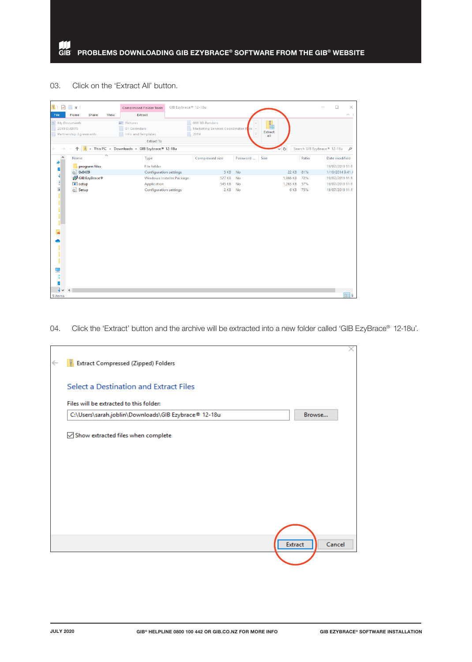#### 03. Click on the 'Extract All' button.

| $\mathbb{R}$                | $\rightarrow$                 | Compressed Folder Tools                    | GIB Ezybrace® 12-18u      |                                     |                          |          |                     | $\times$<br>$\Box$               |
|-----------------------------|-------------------------------|--------------------------------------------|---------------------------|-------------------------------------|--------------------------|----------|---------------------|----------------------------------|
| File                        | View<br>Home<br>Share         | Extract                                    |                           |                                     |                          |          |                     | $\sim$ 1                         |
|                             | 图 My Documents                | Pictures                                   |                           | 003 3D Renders                      |                          | t.       |                     |                                  |
|                             | 2019 EVENTS                   | 01 Calendars                               |                           | Marketing Services Coordinator Role |                          | Extract  |                     |                                  |
|                             | <b>Partnership Agreements</b> | Info and Templates                         |                           | 2019                                | $\overline{\phantom{a}}$ | all      |                     |                                  |
|                             |                               | <b>Extract To</b>                          |                           |                                     |                          |          |                     |                                  |
|                             | $\rightarrow$                 | This PC > Downloads > GIB Ezybrace® 12-18u |                           |                                     |                          | ৺ত       |                     | Search GIB Ezybrace® 12-18u<br>م |
|                             | Name                          | Type                                       |                           | Compressed size                     | Password                 | Size     | Ratio               | Date modified                    |
|                             | program files                 | <b>File folder</b>                         |                           |                                     |                          |          |                     | 19/07/2019 11:17                 |
| с                           | <b>8 0x0409</b>               | <b>Configuration settings</b>              |                           | 5 KB                                | No                       |          | <b>22 KB</b><br>81% | 1/10/2014 9:41 A                 |
|                             | GIB EzyBrace <sup>o</sup>     |                                            | Windows Installer Package | <b>527 KB</b>                       | No                       | 1,866 KB | 72%                 | 19/07/2019 11:11                 |
| l                           | $E$ setup                     | Application                                |                           | <b>545 KB</b>                       | <b>No</b>                | 1,263 KB | 57%                 | 19/07/2019 11:17                 |
| E<br>п<br>್ಠ<br>ſ<br>þ<br>D | Setup                         | <b>Configuration settings</b>              |                           | 2 KB                                | No                       |          | 6 KB<br>75%         | 19/07/2019 11:17                 |
| $\sim$<br>5 items           | $\epsilon$                    |                                            |                           |                                     |                          |          |                     | 895 G                            |

# 04. Click the 'Extract' button and the archive will be extracted into a new folder called 'GIB EzyBrace® 12-18u'.

| $\leftarrow$ | Extract Compressed (Zipped) Folders                  |         |        | ↗ |
|--------------|------------------------------------------------------|---------|--------|---|
|              | Select a Destination and Extract Files               |         |        |   |
|              | Files will be extracted to this folder:              |         |        |   |
|              | C:\Users\sarah.joblin\Downloads\GIB Ezybrace® 12-18u |         | Browse |   |
|              | Show extracted files when complete                   |         |        |   |
|              |                                                      | Extract | Cancel |   |
|              |                                                      |         |        |   |